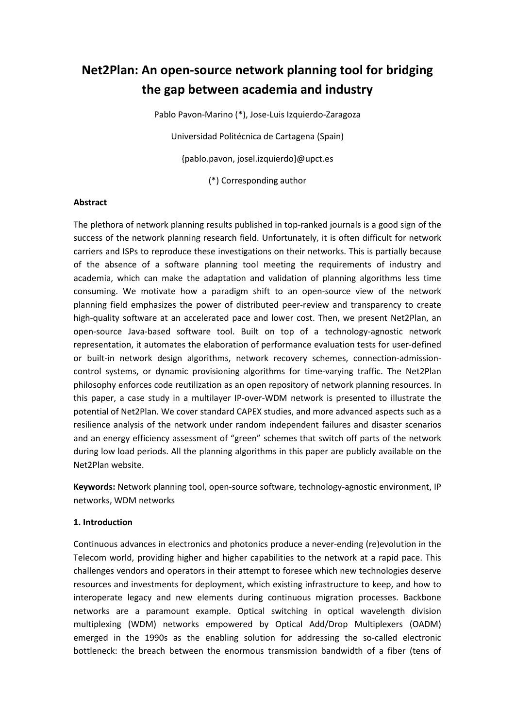# **Net2Plan: An open-source network planning tool for bridging the gap between academia and industry**

Pablo Pavon-Marino (\*), Jose-Luis Izquierdo-Zaragoza Universidad Politécnica de Cartagena (Spain) {pablo.pavon, josel.izquierdo}@upct.es (\*) Corresponding author

## **Abstract**

The plethora of network planning results published in top-ranked journals is a good sign of the success of the network planning research field. Unfortunately, it is often difficult for network carriers and ISPs to reproduce these investigations on their networks. This is partially because of the absence of a software planning tool meeting the requirements of industry and academia, which can make the adaptation and validation of planning algorithms less time consuming. We motivate how a paradigm shift to an open-source view of the network planning field emphasizes the power of distributed peer-review and transparency to create high-quality software at an accelerated pace and lower cost. Then, we present Net2Plan, an open-source Java-based software tool. Built on top of a technology-agnostic network representation, it automates the elaboration of performance evaluation tests for user-defined or built-in network design algorithms, network recovery schemes, connection-admissioncontrol systems, or dynamic provisioning algorithms for time-varying traffic. The Net2Plan philosophy enforces code reutilization as an open repository of network planning resources. In this paper, a case study in a multilayer IP-over-WDM network is presented to illustrate the potential of Net2Plan. We cover standard CAPEX studies, and more advanced aspects such as a resilience analysis of the network under random independent failures and disaster scenarios and an energy efficiency assessment of "green" schemes that switch off parts of the network during low load periods. All the planning algorithms in this paper are publicly available on the Net2Plan website.

**Keywords:** Network planning tool, open-source software, technology-agnostic environment, IP networks, WDM networks

#### **1. Introduction**

Continuous advances in electronics and photonics produce a never-ending (re)evolution in the Telecom world, providing higher and higher capabilities to the network at a rapid pace. This challenges vendors and operators in their attempt to foresee which new technologies deserve resources and investments for deployment, which existing infrastructure to keep, and how to interoperate legacy and new elements during continuous migration processes. Backbone networks are a paramount example. Optical switching in optical wavelength division multiplexing (WDM) networks empowered by Optical Add/Drop Multiplexers (OADM) emerged in the 1990s as the enabling solution for addressing the so-called electronic bottleneck: the breach between the enormous transmission bandwidth of a fiber (tens of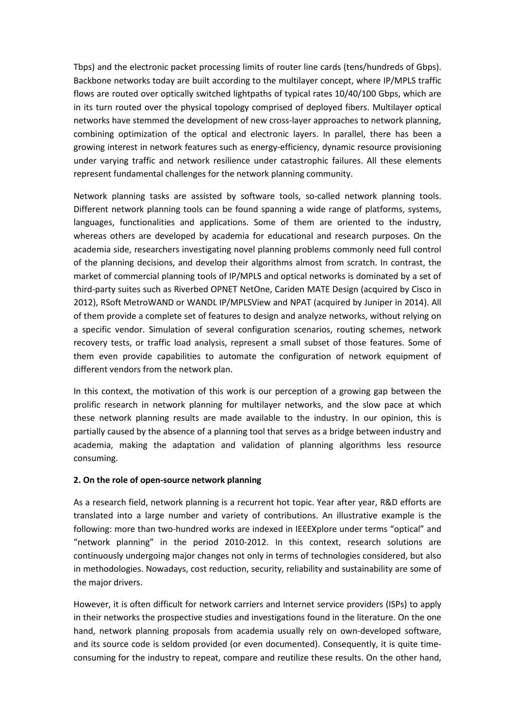Tbps) and the electronic packet processing limits of router line cards (tens/hundreds of Gbps). Backbone networks today are built according to the multilayer concept, where IP/MPLS traffic flows are routed over optically switched lightpaths of typical rates 10/40/100 Gbps, which are in its turn routed over the physical topology comprised of deployed fibers. Multilayer optical networks have stemmed the development of new cross-layer approaches to network planning, combining optimization of the optical and electronic layers. In parallel, there has been a growing interest in network features such as energy-efficiency, dynamic resource provisioning under varying traffic and network resilience under catastrophic failures. All these elements represent fundamental challenges for the network planning community.

Network planning tasks are assisted by software tools, so-called network planning tools. Different network planning tools can be found spanning a wide range of platforms, systems, languages, functionalities and applications. Some of them are oriented to the industry, whereas others are developed by academia for educational and research purposes. On the academia side, researchers investigating novel planning problems commonly need full control of the planning decisions, and develop their algorithms almost from scratch. In contrast, the market of commercial planning tools of IP/MPLS and optical networks is dominated by a set of third-party suites such as Riverbed OPNET NetOne, Cariden MATE Design (acquired by Cisco in 2012), RSoft MetroWAND or WANDL IP/MPLSView and NPAT (acquired by Juniper in 2014). All of them provide a complete set of features to design and analyze networks, without relying on a specific vendor. Simulation of several configuration scenarios, routing schemes, network recovery tests, or traffic load analysis, represent a small subset of those features. Some of them even provide capabilities to automate the configuration of network equipment of different vendors from the network plan.

In this context, the motivation of this work is our perception of a growing gap between the prolific research in network planning for multilayer networks, and the slow pace at which these network planning results are made available to the industry. In our opinion, this is partially caused by the absence of a planning tool that serves as a bridge between industry and academia, making the adaptation and validation of planning algorithms less resource consuming.

## **2. On the role of open-source network planning**

As a research field, network planning is a recurrent hot topic. Year after year, R&D efforts are translated into a large number and variety of contributions. An illustrative example is the following: more than two-hundred works are indexed in IEEEXplore under terms "optical" and "network planning" in the period 2010-2012. In this context, research solutions are continuously undergoing major changes not only in terms of technologies considered, but also in methodologies. Nowadays, cost reduction, security, reliability and sustainability are some of the major drivers.

However, it is often difficult for network carriers and Internet service providers (ISPs) to apply in their networks the prospective studies and investigations found in the literature. On the one hand, network planning proposals from academia usually rely on own-developed software, and its source code is seldom provided (or even documented). Consequently, it is quite timeconsuming for the industry to repeat, compare and reutilize these results. On the other hand,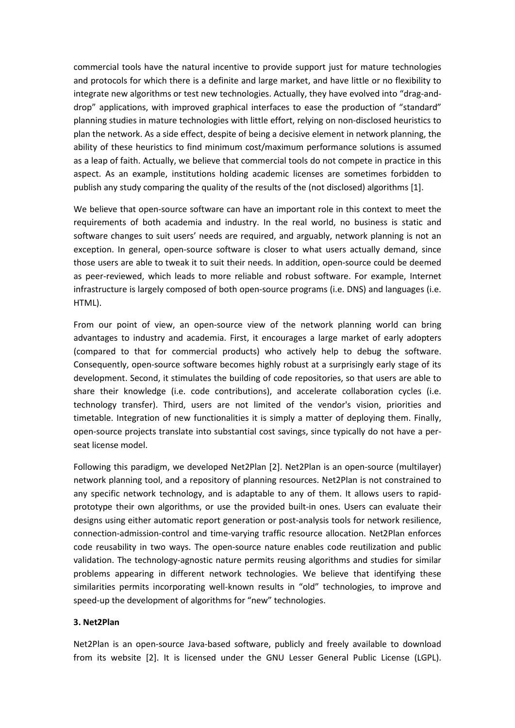commercial tools have the natural incentive to provide support just for mature technologies and protocols for which there is a definite and large market, and have little or no flexibility to integrate new algorithms or test new technologies. Actually, they have evolved into "drag-anddrop" applications, with improved graphical interfaces to ease the production of "standard" planning studies in mature technologies with little effort, relying on non-disclosed heuristics to plan the network. As a side effect, despite of being a decisive element in network planning, the ability of these heuristics to find minimum cost/maximum performance solutions is assumed as a leap of faith. Actually, we believe that commercial tools do not compete in practice in this aspect. As an example, institutions holding academic licenses are sometimes forbidden to publish any study comparing the quality of the results of the (not disclosed) algorithms [1].

We believe that open-source software can have an important role in this context to meet the requirements of both academia and industry. In the real world, no business is static and software changes to suit users' needs are required, and arguably, network planning is not an exception. In general, open-source software is closer to what users actually demand, since those users are able to tweak it to suit their needs. In addition, open-source could be deemed as peer-reviewed, which leads to more reliable and robust software. For example, Internet infrastructure is largely composed of both open-source programs (i.e. DNS) and languages (i.e. HTML).

From our point of view, an open-source view of the network planning world can bring advantages to industry and academia. First, it encourages a large market of early adopters (compared to that for commercial products) who actively help to debug the software. Consequently, open-source software becomes highly robust at a surprisingly early stage of its development. Second, it stimulates the building of code repositories, so that users are able to share their knowledge (i.e. code contributions), and accelerate collaboration cycles (i.e. technology transfer). Third, users are not limited of the vendor's vision, priorities and timetable. Integration of new functionalities it is simply a matter of deploying them. Finally, open-source projects translate into substantial cost savings, since typically do not have a perseat license model.

Following this paradigm, we developed Net2Plan [2]. Net2Plan is an open-source (multilayer) network planning tool, and a repository of planning resources. Net2Plan is not constrained to any specific network technology, and is adaptable to any of them. It allows users to rapidprototype their own algorithms, or use the provided built-in ones. Users can evaluate their designs using either automatic report generation or post-analysis tools for network resilience, connection-admission-control and time-varying traffic resource allocation. Net2Plan enforces code reusability in two ways. The open-source nature enables code reutilization and public validation. The technology-agnostic nature permits reusing algorithms and studies for similar problems appearing in different network technologies. We believe that identifying these similarities permits incorporating well-known results in "old" technologies, to improve and speed-up the development of algorithms for "new" technologies.

# **3. Net2Plan**

Net2Plan is an open-source Java-based software, publicly and freely available to download from its website [2]. It is licensed under the GNU Lesser General Public License (LGPL).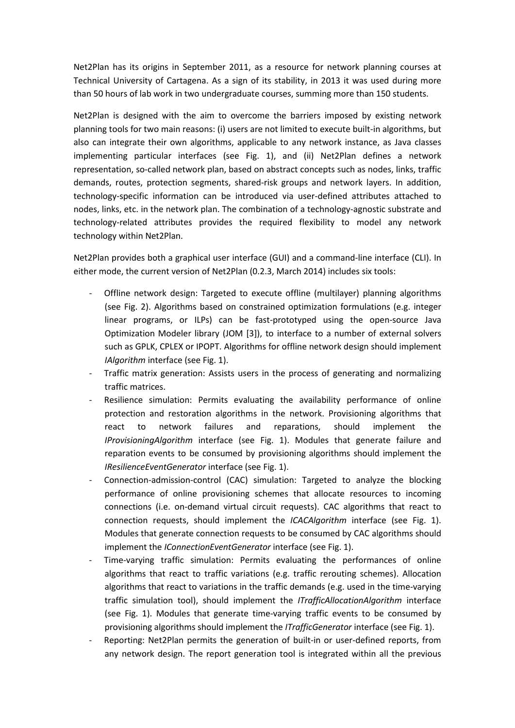Net2Plan has its origins in September 2011, as a resource for network planning courses at Technical University of Cartagena. As a sign of its stability, in 2013 it was used during more than 50 hours of lab work in two undergraduate courses, summing more than 150 students.

Net2Plan is designed with the aim to overcome the barriers imposed by existing network planning tools for two main reasons: (i) users are not limited to execute built-in algorithms, but also can integrate their own algorithms, applicable to any network instance, as Java classes implementing particular interfaces (see Fig. 1), and (ii) Net2Plan defines a network representation, so-called network plan, based on abstract concepts such as nodes, links, traffic demands, routes, protection segments, shared-risk groups and network layers. In addition, technology-specific information can be introduced via user-defined attributes attached to nodes, links, etc. in the network plan. The combination of a technology-agnostic substrate and technology-related attributes provides the required flexibility to model any network technology within Net2Plan.

Net2Plan provides both a graphical user interface (GUI) and a command-line interface (CLI). In either mode, the current version of Net2Plan (0.2.3, March 2014) includes six tools:

- Offline network design: Targeted to execute offline (multilayer) planning algorithms (see Fig. 2). Algorithms based on constrained optimization formulations (e.g. integer linear programs, or ILPs) can be fast-prototyped using the open-source Java Optimization Modeler library (JOM [3]), to interface to a number of external solvers such as GPLK, CPLEX or IPOPT. Algorithms for offline network design should implement *IAlgorithm* interface (see Fig. 1).
- Traffic matrix generation: Assists users in the process of generating and normalizing traffic matrices.
- Resilience simulation: Permits evaluating the availability performance of online protection and restoration algorithms in the network. Provisioning algorithms that react to network failures and reparations, should implement the *IProvisioningAlgorithm* interface (see Fig. 1). Modules that generate failure and reparation events to be consumed by provisioning algorithms should implement the *IResilienceEventGenerator* interface (see Fig. 1).
- Connection-admission-control (CAC) simulation: Targeted to analyze the blocking performance of online provisioning schemes that allocate resources to incoming connections (i.e. on-demand virtual circuit requests). CAC algorithms that react to connection requests, should implement the *ICACAlgorithm* interface (see Fig. 1). Modules that generate connection requests to be consumed by CAC algorithms should implement the *IConnectionEventGenerator* interface (see Fig. 1).
- Time-varying traffic simulation: Permits evaluating the performances of online algorithms that react to traffic variations (e.g. traffic rerouting schemes). Allocation algorithms that react to variations in the traffic demands (e.g. used in the time-varying traffic simulation tool), should implement the *ITrafficAllocationAlgorithm* interface (see Fig. 1). Modules that generate time-varying traffic events to be consumed by provisioning algorithms should implement the *ITrafficGenerator* interface (see Fig. 1).
- Reporting: Net2Plan permits the generation of built-in or user-defined reports, from any network design. The report generation tool is integrated within all the previous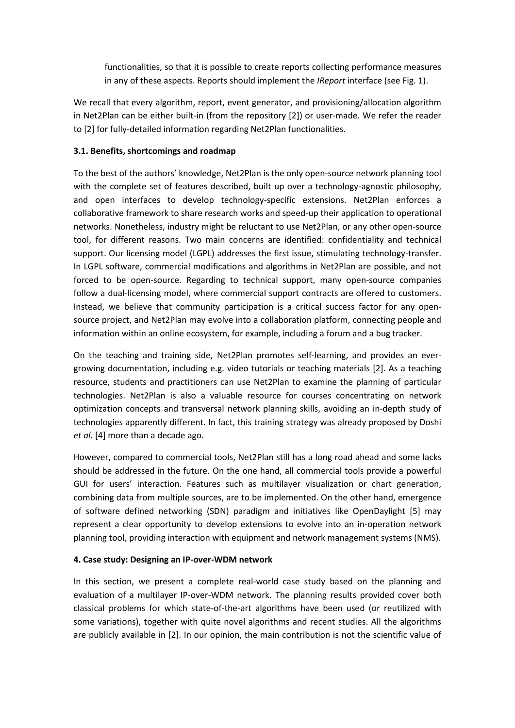functionalities, so that it is possible to create reports collecting performance measures in any of these aspects. Reports should implement the *IReport* interface (see Fig. 1).

We recall that every algorithm, report, event generator, and provisioning/allocation algorithm in Net2Plan can be either built-in (from the repository [2]) or user-made. We refer the reader to [2] for fully-detailed information regarding Net2Plan functionalities.

# **3.1. Benefits, shortcomings and roadmap**

To the best of the authors' knowledge, Net2Plan is the only open-source network planning tool with the complete set of features described, built up over a technology-agnostic philosophy, and open interfaces to develop technology-specific extensions. Net2Plan enforces a collaborative framework to share research works and speed-up their application to operational networks. Nonetheless, industry might be reluctant to use Net2Plan, or any other open-source tool, for different reasons. Two main concerns are identified: confidentiality and technical support. Our licensing model (LGPL) addresses the first issue, stimulating technology-transfer. In LGPL software, commercial modifications and algorithms in Net2Plan are possible, and not forced to be open-source. Regarding to technical support, many open-source companies follow a dual-licensing model, where commercial support contracts are offered to customers. Instead, we believe that community participation is a critical success factor for any opensource project, and Net2Plan may evolve into a collaboration platform, connecting people and information within an online ecosystem, for example, including a forum and a bug tracker.

On the teaching and training side, Net2Plan promotes self-learning, and provides an evergrowing documentation, including e.g. video tutorials or teaching materials [2]. As a teaching resource, students and practitioners can use Net2Plan to examine the planning of particular technologies. Net2Plan is also a valuable resource for courses concentrating on network optimization concepts and transversal network planning skills, avoiding an in-depth study of technologies apparently different. In fact, this training strategy was already proposed by Doshi *et al.* [4] more than a decade ago.

However, compared to commercial tools, Net2Plan still has a long road ahead and some lacks should be addressed in the future. On the one hand, all commercial tools provide a powerful GUI for users' interaction. Features such as multilayer visualization or chart generation, combining data from multiple sources, are to be implemented. On the other hand, emergence of software defined networking (SDN) paradigm and initiatives like OpenDaylight [5] may represent a clear opportunity to develop extensions to evolve into an in-operation network planning tool, providing interaction with equipment and network management systems (NMS).

# **4. Case study: Designing an IP-over-WDM network**

In this section, we present a complete real-world case study based on the planning and evaluation of a multilayer IP-over-WDM network. The planning results provided cover both classical problems for which state-of-the-art algorithms have been used (or reutilized with some variations), together with quite novel algorithms and recent studies. All the algorithms are publicly available in [2]. In our opinion, the main contribution is not the scientific value of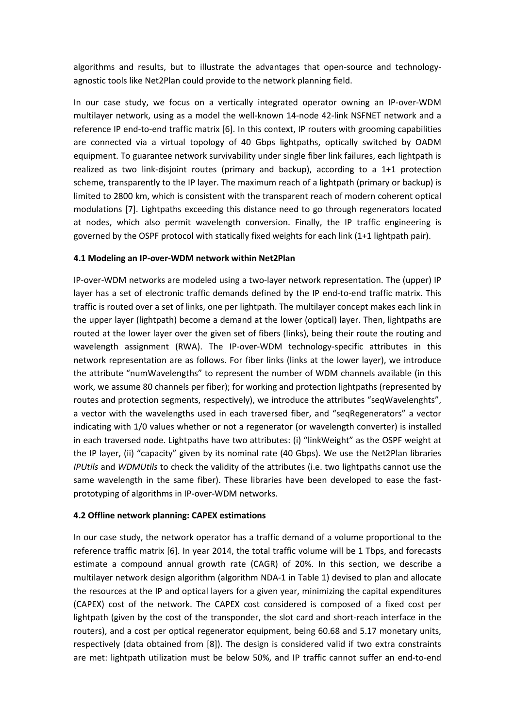algorithms and results, but to illustrate the advantages that open-source and technologyagnostic tools like Net2Plan could provide to the network planning field.

In our case study, we focus on a vertically integrated operator owning an IP-over-WDM multilayer network, using as a model the well-known 14-node 42-link NSFNET network and a reference IP end-to-end traffic matrix [6]. In this context, IP routers with grooming capabilities are connected via a virtual topology of 40 Gbps lightpaths, optically switched by OADM equipment. To guarantee network survivability under single fiber link failures, each lightpath is realized as two link-disjoint routes (primary and backup), according to a 1+1 protection scheme, transparently to the IP layer. The maximum reach of a lightpath (primary or backup) is limited to 2800 km, which is consistent with the transparent reach of modern coherent optical modulations [7]. Lightpaths exceeding this distance need to go through regenerators located at nodes, which also permit wavelength conversion. Finally, the IP traffic engineering is governed by the OSPF protocol with statically fixed weights for each link (1+1 lightpath pair).

# **4.1 Modeling an IP-over-WDM network within Net2Plan**

IP-over-WDM networks are modeled using a two-layer network representation. The (upper) IP layer has a set of electronic traffic demands defined by the IP end-to-end traffic matrix. This traffic is routed over a set of links, one per lightpath. The multilayer concept makes each link in the upper layer (lightpath) become a demand at the lower (optical) layer. Then, lightpaths are routed at the lower layer over the given set of fibers (links), being their route the routing and wavelength assignment (RWA). The IP-over-WDM technology-specific attributes in this network representation are as follows. For fiber links (links at the lower layer), we introduce the attribute "numWavelengths" to represent the number of WDM channels available (in this work, we assume 80 channels per fiber); for working and protection lightpaths (represented by routes and protection segments, respectively), we introduce the attributes "seqWavelenghts", a vector with the wavelengths used in each traversed fiber, and "seqRegenerators" a vector indicating with 1/0 values whether or not a regenerator (or wavelength converter) is installed in each traversed node. Lightpaths have two attributes: (i) "linkWeight" as the OSPF weight at the IP layer, (ii) "capacity" given by its nominal rate (40 Gbps). We use the Net2Plan libraries *IPUtils* and *WDMUtils* to check the validity of the attributes (i.e. two lightpaths cannot use the same wavelength in the same fiber). These libraries have been developed to ease the fastprototyping of algorithms in IP-over-WDM networks.

## **4.2 Offline network planning: CAPEX estimations**

In our case study, the network operator has a traffic demand of a volume proportional to the reference traffic matrix [6]. In year 2014, the total traffic volume will be 1 Tbps, and forecasts estimate a compound annual growth rate (CAGR) of 20%. In this section, we describe a multilayer network design algorithm (algorithm NDA-1 in Table 1) devised to plan and allocate the resources at the IP and optical layers for a given year, minimizing the capital expenditures (CAPEX) cost of the network. The CAPEX cost considered is composed of a fixed cost per lightpath (given by the cost of the transponder, the slot card and short-reach interface in the routers), and a cost per optical regenerator equipment, being 60.68 and 5.17 monetary units, respectively (data obtained from [8]). The design is considered valid if two extra constraints are met: lightpath utilization must be below 50%, and IP traffic cannot suffer an end-to-end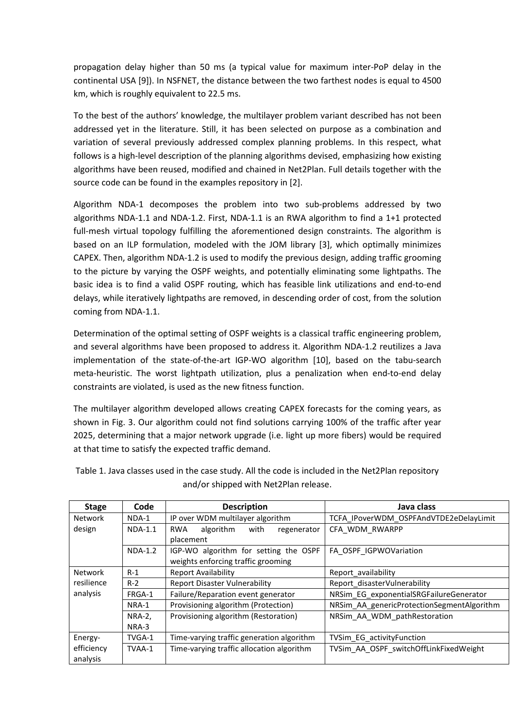propagation delay higher than 50 ms (a typical value for maximum inter-PoP delay in the continental USA [9]). In NSFNET, the distance between the two farthest nodes is equal to 4500 km, which is roughly equivalent to 22.5 ms.

To the best of the authors' knowledge, the multilayer problem variant described has not been addressed yet in the literature. Still, it has been selected on purpose as a combination and variation of several previously addressed complex planning problems. In this respect, what follows is a high-level description of the planning algorithms devised, emphasizing how existing algorithms have been reused, modified and chained in Net2Plan. Full details together with the source code can be found in the examples repository in [2].

Algorithm NDA-1 decomposes the problem into two sub-problems addressed by two algorithms NDA-1.1 and NDA-1.2. First, NDA-1.1 is an RWA algorithm to find a 1+1 protected full-mesh virtual topology fulfilling the aforementioned design constraints. The algorithm is based on an ILP formulation, modeled with the JOM library [3], which optimally minimizes CAPEX. Then, algorithm NDA-1.2 is used to modify the previous design, adding traffic grooming to the picture by varying the OSPF weights, and potentially eliminating some lightpaths. The basic idea is to find a valid OSPF routing, which has feasible link utilizations and end-to-end delays, while iteratively lightpaths are removed, in descending order of cost, from the solution coming from NDA-1.1.

Determination of the optimal setting of OSPF weights is a classical traffic engineering problem, and several algorithms have been proposed to address it. Algorithm NDA-1.2 reutilizes a Java implementation of the state-of-the-art IGP-WO algorithm [10], based on the tabu-search meta-heuristic. The worst lightpath utilization, plus a penalization when end-to-end delay constraints are violated, is used as the new fitness function.

The multilayer algorithm developed allows creating CAPEX forecasts for the coming years, as shown in Fig. 3. Our algorithm could not find solutions carrying 100% of the traffic after year 2025, determining that a major network upgrade (i.e. light up more fibers) would be required at that time to satisfy the expected traffic demand.

| <b>Stage</b>   | Code          | <b>Description</b>                             | Java class                                 |  |  |
|----------------|---------------|------------------------------------------------|--------------------------------------------|--|--|
| <b>Network</b> | NDA-1         | IP over WDM multilayer algorithm               | TCFA IPoverWDM OSPFAndVTDE2eDelayLimit     |  |  |
| design         | $NDA-1.1$     | algorithm<br>with<br><b>RWA</b><br>regenerator | CFA WDM RWARPP                             |  |  |
|                |               | placement                                      |                                            |  |  |
|                | $NDA-1.2$     | IGP-WO algorithm for setting the OSPF          | FA OSPF IGPWOVariation                     |  |  |
|                |               | weights enforcing traffic grooming             |                                            |  |  |
| <b>Network</b> | $R-1$         | <b>Report Availability</b>                     | Report_availability                        |  |  |
| resilience     | $R-2$         | <b>Report Disaster Vulnerability</b>           | Report disasterVulnerability               |  |  |
| analysis       | FRGA-1        | Failure/Reparation event generator             | NRSim EG exponentialSRGFailureGenerator    |  |  |
|                | NRA-1         | Provisioning algorithm (Protection)            | NRSim_AA_genericProtectionSegmentAlgorithm |  |  |
|                | <b>NRA-2,</b> | Provisioning algorithm (Restoration)           | NRSim AA WDM pathRestoration               |  |  |
|                | NRA-3         |                                                |                                            |  |  |
| Energy-        | TVGA-1        | Time-varying traffic generation algorithm      | TVSim EG activityFunction                  |  |  |
| efficiency     | TVAA-1        | Time-varying traffic allocation algorithm      | TVSim_AA_OSPF_switchOffLinkFixedWeight     |  |  |
| analysis       |               |                                                |                                            |  |  |

Table 1. Java classes used in the case study. All the code is included in the Net2Plan repository and/or shipped with Net2Plan release.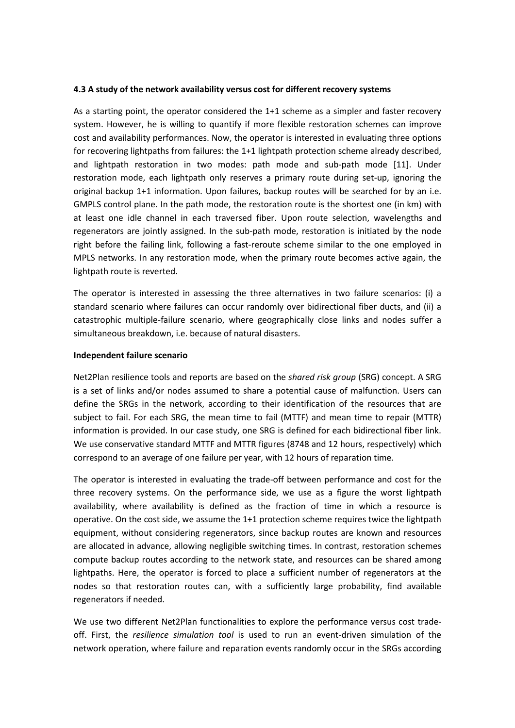#### **4.3 A study of the network availability versus cost for different recovery systems**

As a starting point, the operator considered the 1+1 scheme as a simpler and faster recovery system. However, he is willing to quantify if more flexible restoration schemes can improve cost and availability performances. Now, the operator is interested in evaluating three options for recovering lightpaths from failures: the 1+1 lightpath protection scheme already described, and lightpath restoration in two modes: path mode and sub-path mode [11]. Under restoration mode, each lightpath only reserves a primary route during set-up, ignoring the original backup 1+1 information. Upon failures, backup routes will be searched for by an i.e. GMPLS control plane. In the path mode, the restoration route is the shortest one (in km) with at least one idle channel in each traversed fiber. Upon route selection, wavelengths and regenerators are jointly assigned. In the sub-path mode, restoration is initiated by the node right before the failing link, following a fast-reroute scheme similar to the one employed in MPLS networks. In any restoration mode, when the primary route becomes active again, the lightpath route is reverted.

The operator is interested in assessing the three alternatives in two failure scenarios: (i) a standard scenario where failures can occur randomly over bidirectional fiber ducts, and (ii) a catastrophic multiple-failure scenario, where geographically close links and nodes suffer a simultaneous breakdown, i.e. because of natural disasters.

#### **Independent failure scenario**

Net2Plan resilience tools and reports are based on the *shared risk group* (SRG) concept. A SRG is a set of links and/or nodes assumed to share a potential cause of malfunction. Users can define the SRGs in the network, according to their identification of the resources that are subject to fail. For each SRG, the mean time to fail (MTTF) and mean time to repair (MTTR) information is provided. In our case study, one SRG is defined for each bidirectional fiber link. We use conservative standard MTTF and MTTR figures (8748 and 12 hours, respectively) which correspond to an average of one failure per year, with 12 hours of reparation time.

The operator is interested in evaluating the trade-off between performance and cost for the three recovery systems. On the performance side, we use as a figure the worst lightpath availability, where availability is defined as the fraction of time in which a resource is operative. On the cost side, we assume the 1+1 protection scheme requires twice the lightpath equipment, without considering regenerators, since backup routes are known and resources are allocated in advance, allowing negligible switching times. In contrast, restoration schemes compute backup routes according to the network state, and resources can be shared among lightpaths. Here, the operator is forced to place a sufficient number of regenerators at the nodes so that restoration routes can, with a sufficiently large probability, find available regenerators if needed.

We use two different Net2Plan functionalities to explore the performance versus cost tradeoff. First, the *resilience simulation tool* is used to run an event-driven simulation of the network operation, where failure and reparation events randomly occur in the SRGs according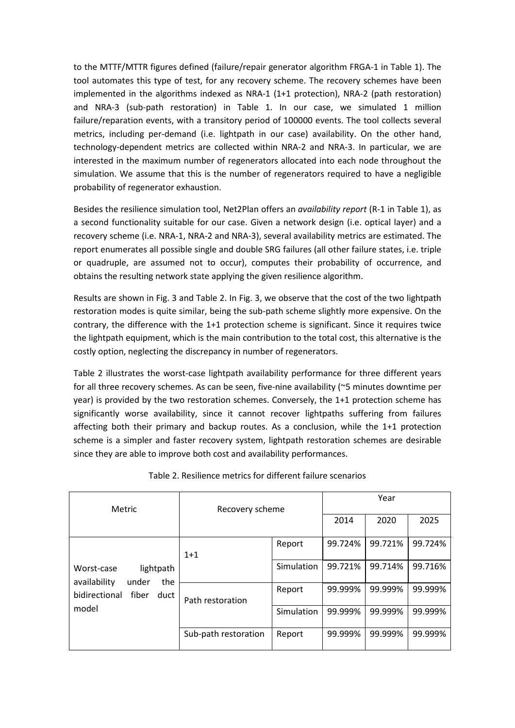to the MTTF/MTTR figures defined (failure/repair generator algorithm FRGA-1 in Table 1). The tool automates this type of test, for any recovery scheme. The recovery schemes have been implemented in the algorithms indexed as NRA-1 (1+1 protection), NRA-2 (path restoration) and NRA-3 (sub-path restoration) in Table 1. In our case, we simulated 1 million failure/reparation events, with a transitory period of 100000 events. The tool collects several metrics, including per-demand (i.e. lightpath in our case) availability. On the other hand, technology-dependent metrics are collected within NRA-2 and NRA-3. In particular, we are interested in the maximum number of regenerators allocated into each node throughout the simulation. We assume that this is the number of regenerators required to have a negligible probability of regenerator exhaustion.

Besides the resilience simulation tool, Net2Plan offers an *availability report* (R-1 in Table 1), as a second functionality suitable for our case. Given a network design (i.e. optical layer) and a recovery scheme (i.e. NRA-1, NRA-2 and NRA-3), several availability metrics are estimated. The report enumerates all possible single and double SRG failures (all other failure states, i.e. triple or quadruple, are assumed not to occur), computes their probability of occurrence, and obtains the resulting network state applying the given resilience algorithm.

Results are shown in Fig. 3 and Table 2. In Fig. 3, we observe that the cost of the two lightpath restoration modes is quite similar, being the sub-path scheme slightly more expensive. On the contrary, the difference with the 1+1 protection scheme is significant. Since it requires twice the lightpath equipment, which is the main contribution to the total cost, this alternative is the costly option, neglecting the discrepancy in number of regenerators.

Table 2 illustrates the worst-case lightpath availability performance for three different years for all three recovery schemes. As can be seen, five-nine availability (~5 minutes downtime per year) is provided by the two restoration schemes. Conversely, the 1+1 protection scheme has significantly worse availability, since it cannot recover lightpaths suffering from failures affecting both their primary and backup routes. As a conclusion, while the 1+1 protection scheme is a simpler and faster recovery system, lightpath restoration schemes are desirable since they are able to improve both cost and availability performances.

| Metric                                                  | Recovery scheme      |            | Year    |         |         |  |
|---------------------------------------------------------|----------------------|------------|---------|---------|---------|--|
|                                                         |                      |            | 2014    | 2020    | 2025    |  |
|                                                         | $1+1$                | Report     | 99.724% | 99.721% | 99.724% |  |
| lightpath<br>Worst-case<br>the<br>availability<br>under |                      | Simulation | 99.721% | 99.714% | 99.716% |  |
| bidirectional<br>fiber<br>duct                          | Path restoration     | Report     | 99.999% | 99.999% | 99.999% |  |
| model                                                   |                      | Simulation | 99.999% | 99.999% | 99.999% |  |
|                                                         | Sub-path restoration | Report     | 99.999% | 99.999% | 99.999% |  |

## Table 2. Resilience metrics for different failure scenarios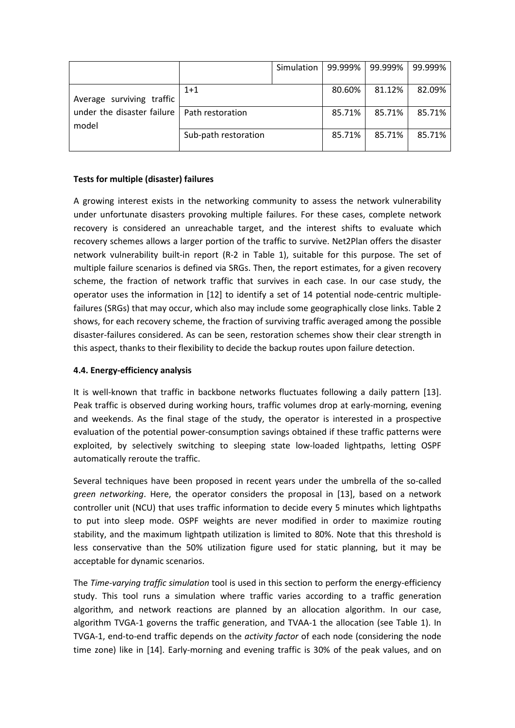|                            |                      | Simulation | 99.999% | 99.999% | 99.999% |
|----------------------------|----------------------|------------|---------|---------|---------|
|                            |                      |            |         |         |         |
|                            | $1+1$                |            | 80.60%  | 81.12%  | 82.09%  |
| Average surviving traffic  |                      |            |         |         |         |
| under the disaster failure | Path restoration     |            | 85.71%  | 85.71%  | 85.71%  |
| model                      |                      |            |         |         |         |
|                            | Sub-path restoration |            | 85.71%  | 85.71%  | 85.71%  |
|                            |                      |            |         |         |         |

# **Tests for multiple (disaster) failures**

A growing interest exists in the networking community to assess the network vulnerability under unfortunate disasters provoking multiple failures. For these cases, complete network recovery is considered an unreachable target, and the interest shifts to evaluate which recovery schemes allows a larger portion of the traffic to survive. Net2Plan offers the disaster network vulnerability built-in report (R-2 in Table 1), suitable for this purpose. The set of multiple failure scenarios is defined via SRGs. Then, the report estimates, for a given recovery scheme, the fraction of network traffic that survives in each case. In our case study, the operator uses the information in [12] to identify a set of 14 potential node-centric multiplefailures (SRGs) that may occur, which also may include some geographically close links. Table 2 shows, for each recovery scheme, the fraction of surviving traffic averaged among the possible disaster-failures considered. As can be seen, restoration schemes show their clear strength in this aspect, thanks to their flexibility to decide the backup routes upon failure detection.

## **4.4. Energy-efficiency analysis**

It is well-known that traffic in backbone networks fluctuates following a daily pattern [13]. Peak traffic is observed during working hours, traffic volumes drop at early-morning, evening and weekends. As the final stage of the study, the operator is interested in a prospective evaluation of the potential power-consumption savings obtained if these traffic patterns were exploited, by selectively switching to sleeping state low-loaded lightpaths, letting OSPF automatically reroute the traffic.

Several techniques have been proposed in recent years under the umbrella of the so-called *green networking*. Here, the operator considers the proposal in [13], based on a network controller unit (NCU) that uses traffic information to decide every 5 minutes which lightpaths to put into sleep mode. OSPF weights are never modified in order to maximize routing stability, and the maximum lightpath utilization is limited to 80%. Note that this threshold is less conservative than the 50% utilization figure used for static planning, but it may be acceptable for dynamic scenarios.

The *Time-varying traffic simulation* tool is used in this section to perform the energy-efficiency study. This tool runs a simulation where traffic varies according to a traffic generation algorithm, and network reactions are planned by an allocation algorithm. In our case, algorithm TVGA-1 governs the traffic generation, and TVAA-1 the allocation (see Table 1). In TVGA-1, end-to-end traffic depends on the *activity factor* of each node (considering the node time zone) like in [14]. Early-morning and evening traffic is 30% of the peak values, and on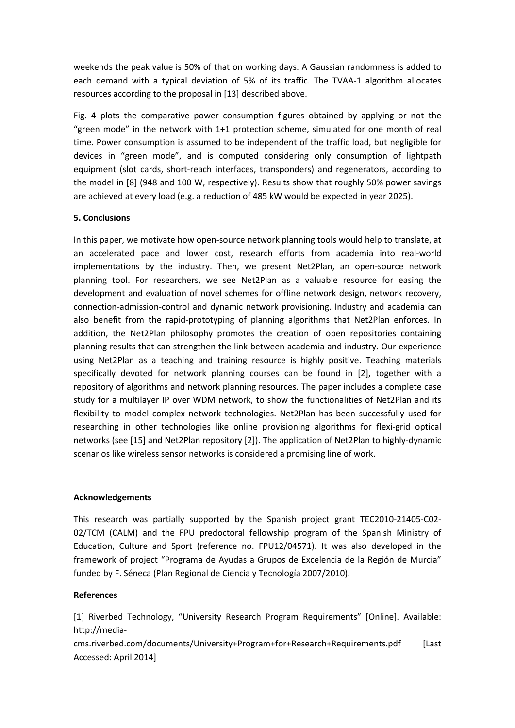weekends the peak value is 50% of that on working days. A Gaussian randomness is added to each demand with a typical deviation of 5% of its traffic. The TVAA-1 algorithm allocates resources according to the proposal in [13] described above.

Fig. 4 plots the comparative power consumption figures obtained by applying or not the "green mode" in the network with 1+1 protection scheme, simulated for one month of real time. Power consumption is assumed to be independent of the traffic load, but negligible for devices in "green mode", and is computed considering only consumption of lightpath equipment (slot cards, short-reach interfaces, transponders) and regenerators, according to the model in [8] (948 and 100 W, respectively). Results show that roughly 50% power savings are achieved at every load (e.g. a reduction of 485 kW would be expected in year 2025).

# **5. Conclusions**

In this paper, we motivate how open-source network planning tools would help to translate, at an accelerated pace and lower cost, research efforts from academia into real-world implementations by the industry. Then, we present Net2Plan, an open-source network planning tool. For researchers, we see Net2Plan as a valuable resource for easing the development and evaluation of novel schemes for offline network design, network recovery, connection-admission-control and dynamic network provisioning. Industry and academia can also benefit from the rapid-prototyping of planning algorithms that Net2Plan enforces. In addition, the Net2Plan philosophy promotes the creation of open repositories containing planning results that can strengthen the link between academia and industry. Our experience using Net2Plan as a teaching and training resource is highly positive. Teaching materials specifically devoted for network planning courses can be found in [2], together with a repository of algorithms and network planning resources. The paper includes a complete case study for a multilayer IP over WDM network, to show the functionalities of Net2Plan and its flexibility to model complex network technologies. Net2Plan has been successfully used for researching in other technologies like online provisioning algorithms for flexi-grid optical networks (see [15] and Net2Plan repository [2]). The application of Net2Plan to highly-dynamic scenarios like wireless sensor networks is considered a promising line of work.

## **Acknowledgements**

This research was partially supported by the Spanish project grant TEC2010-21405-C02- 02/TCM (CALM) and the FPU predoctoral fellowship program of the Spanish Ministry of Education, Culture and Sport (reference no. FPU12/04571). It was also developed in the framework of project "Programa de Ayudas a Grupos de Excelencia de la Región de Murcia" funded by F. Séneca (Plan Regional de Ciencia y Tecnología 2007/2010).

## **References**

[1] Riverbed Technology, "University Research Program Requirements" [Online]. Available: http://media-

cms.riverbed.com/documents/University+Program+for+Research+Requirements.pdf [Last Accessed: April 2014]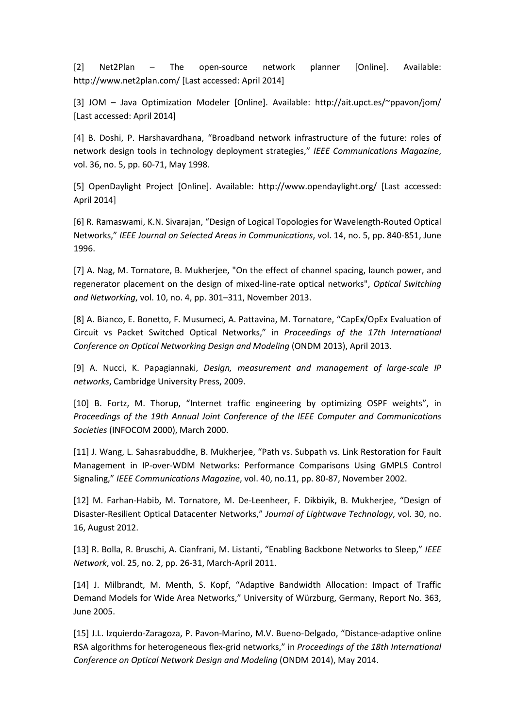[2] Net2Plan – The open-source network planner [Online]. Available: http://www.net2plan.com/ [Last accessed: April 2014]

[3] JOM – Java Optimization Modeler [Online]. Available: http://ait.upct.es/~ppavon/jom/ [Last accessed: April 2014]

[4] B. Doshi, P. Harshavardhana, "Broadband network infrastructure of the future: roles of network design tools in technology deployment strategies," *IEEE Communications Magazine*, vol. 36, no. 5, pp. 60-71, May 1998.

[5] OpenDaylight Project [Online]. Available: http://www.opendaylight.org/ [Last accessed: April 2014]

[6] R. Ramaswami, K.N. Sivarajan, "Design of Logical Topologies for Wavelength-Routed Optical Networks," *IEEE Journal on Selected Areas in Communications*, vol. 14, no. 5, pp. 840-851, June 1996.

[7] A. Nag, M. Tornatore, B. Mukherjee, "On the effect of channel spacing, launch power, and regenerator placement on the design of mixed-line-rate optical networks", *Optical Switching and Networking*, vol. 10, no. 4, pp. 301–311, November 2013.

[8] A. Bianco, E. Bonetto, F. Musumeci, A. Pattavina, M. Tornatore, "CapEx/OpEx Evaluation of Circuit vs Packet Switched Optical Networks," in *Proceedings of the 17th International Conference on Optical Networking Design and Modeling* (ONDM 2013), April 2013.

[9] A. Nucci, K. Papagiannaki, *Design, measurement and management of large-scale IP networks*, Cambridge University Press, 2009.

[10] B. Fortz, M. Thorup, "Internet traffic engineering by optimizing OSPF weights", in *Proceedings of the 19th Annual Joint Conference of the IEEE Computer and Communications Societies* (INFOCOM 2000), March 2000.

[11] J. Wang, L. Sahasrabuddhe, B. Mukherjee, "Path vs. Subpath vs. Link Restoration for Fault Management in IP-over-WDM Networks: Performance Comparisons Using GMPLS Control Signaling," *IEEE Communications Magazine*, vol. 40, no.11, pp. 80-87, November 2002.

[12] M. Farhan-Habib, M. Tornatore, M. De-Leenheer, F. Dikbiyik, B. Mukherjee, "Design of Disaster-Resilient Optical Datacenter Networks," *Journal of Lightwave Technology*, vol. 30, no. 16, August 2012.

[13] R. Bolla, R. Bruschi, A. Cianfrani, M. Listanti, "Enabling Backbone Networks to Sleep," *IEEE Network*, vol. 25, no. 2, pp. 26-31, March-April 2011.

[14] J. Milbrandt, M. Menth, S. Kopf, "Adaptive Bandwidth Allocation: Impact of Traffic Demand Models for Wide Area Networks," University of Würzburg, Germany, Report No. 363, June 2005.

[15] J.L. Izquierdo-Zaragoza, P. Pavon-Marino, M.V. Bueno-Delgado, "Distance-adaptive online RSA algorithms for heterogeneous flex-grid networks," in *Proceedings of the 18th International Conference on Optical Network Design and Modeling* (ONDM 2014), May 2014.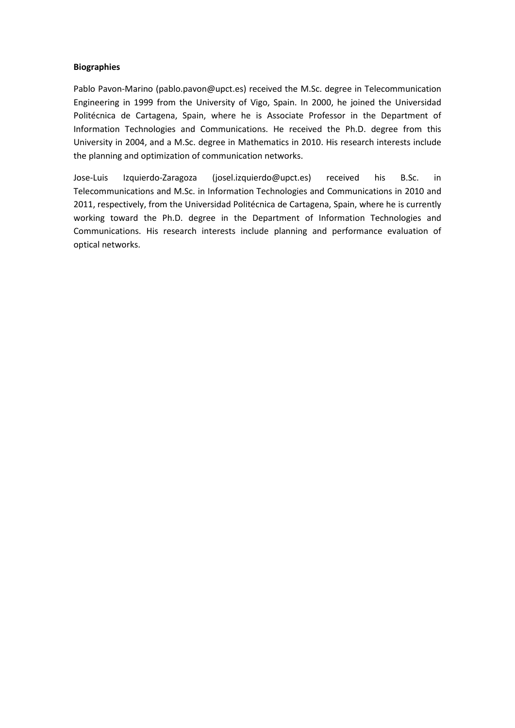### **Biographies**

Pablo Pavon-Marino (pablo.pavon@upct.es) received the M.Sc. degree in Telecommunication Engineering in 1999 from the University of Vigo, Spain. In 2000, he joined the Universidad Politécnica de Cartagena, Spain, where he is Associate Professor in the Department of Information Technologies and Communications. He received the Ph.D. degree from this University in 2004, and a M.Sc. degree in Mathematics in 2010. His research interests include the planning and optimization of communication networks.

Jose-Luis Izquierdo-Zaragoza (josel.izquierdo@upct.es) received his B.Sc. in Telecommunications and M.Sc. in Information Technologies and Communications in 2010 and 2011, respectively, from the Universidad Politécnica de Cartagena, Spain, where he is currently working toward the Ph.D. degree in the Department of Information Technologies and Communications. His research interests include planning and performance evaluation of optical networks.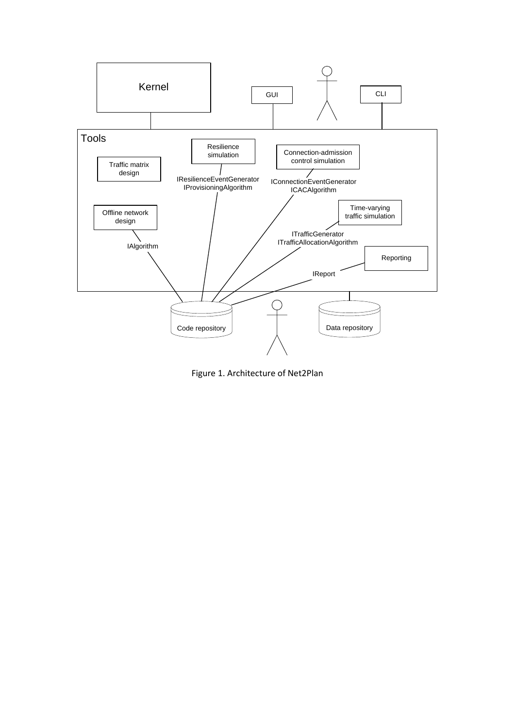

Figure 1. Architecture of Net2Plan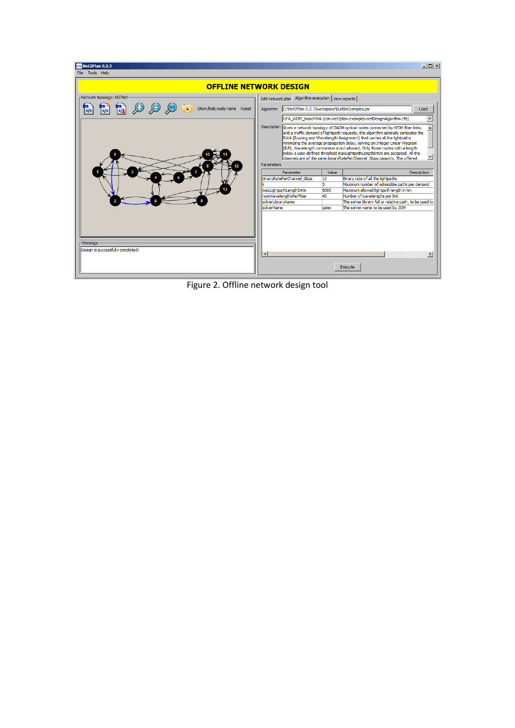| n <sub>20</sub> Net2Plan 0.2.3                                                                          |                                                                                                                                                                                                                                                                                                                                                                                                                                                |           |             | $ \Box$ $\times$                                        |  |  |
|---------------------------------------------------------------------------------------------------------|------------------------------------------------------------------------------------------------------------------------------------------------------------------------------------------------------------------------------------------------------------------------------------------------------------------------------------------------------------------------------------------------------------------------------------------------|-----------|-------------|---------------------------------------------------------|--|--|
| File Tools Help                                                                                         |                                                                                                                                                                                                                                                                                                                                                                                                                                                |           |             |                                                         |  |  |
| <b>OFFLINE NETWORK DESIGN</b>                                                                           |                                                                                                                                                                                                                                                                                                                                                                                                                                                |           |             |                                                         |  |  |
| -Network topology: NSFNet<br>- 0<br>$\begin{bmatrix} 1 \\ 1 \end{bmatrix}$<br>Show/hide node name Reset | Edit network plan Algorithm execution   View reports<br>C: Wet2Plan-0.2.3\workspace\BuiltInExamples.jar<br>Algorithm<br>Load<br>CFA WDM basicRWA (com.net2plan.examples.netDesignAlgorithm.cfa)<br><b>Description</b><br>Given a network topology of OADM optical nodes connected by WDM fiber links,<br>and a traffic demand of lightpath requests, this algorithm optimally computes the                                                     |           |             |                                                         |  |  |
|                                                                                                         | RWA (Routing and Wavelength Assignment) that carries all the lightpaths<br>minimizing the average propagation delay, solving an Integer Linear Program<br>(ILP). Wavelength conversion is not allowed. Only those routes with a length<br>below a user-defined threshold maxLightpathLengthInKm are accepted. All the<br>$\blacktriangledown$<br>channels are of the same binaryRatePerChannel Gbps capacity. The offered<br><b>Parameters</b> |           |             |                                                         |  |  |
|                                                                                                         | binaryRatePerChannel Gbps                                                                                                                                                                                                                                                                                                                                                                                                                      | Parameter | Value<br>10 | Description<br>Binary rate of all the lightpaths        |  |  |
|                                                                                                         |                                                                                                                                                                                                                                                                                                                                                                                                                                                |           | 3           | Maximum number of admissible paths per demand           |  |  |
|                                                                                                         | maxLightpathLengthInKm                                                                                                                                                                                                                                                                                                                                                                                                                         |           | 5000        | Maximum allowed lightpath length in km                  |  |  |
|                                                                                                         | numWavelengthsPerFiber                                                                                                                                                                                                                                                                                                                                                                                                                         |           | 40          | Number of wavelengths per link                          |  |  |
|                                                                                                         | solverLibraryName                                                                                                                                                                                                                                                                                                                                                                                                                              |           |             | The solver library full or relative path, to be used by |  |  |
|                                                                                                         | solverName                                                                                                                                                                                                                                                                                                                                                                                                                                     |           | colex       | The solver name to be used by JOM                       |  |  |
|                                                                                                         |                                                                                                                                                                                                                                                                                                                                                                                                                                                |           |             |                                                         |  |  |
| <b>Warnings</b>                                                                                         |                                                                                                                                                                                                                                                                                                                                                                                                                                                |           |             |                                                         |  |  |
| Design is successfully completed!                                                                       | $\left  \right $                                                                                                                                                                                                                                                                                                                                                                                                                               |           |             | $\blacktriangleright$                                   |  |  |
|                                                                                                         |                                                                                                                                                                                                                                                                                                                                                                                                                                                |           |             |                                                         |  |  |
|                                                                                                         |                                                                                                                                                                                                                                                                                                                                                                                                                                                |           |             | Execute                                                 |  |  |

Figure 2. Offline network design tool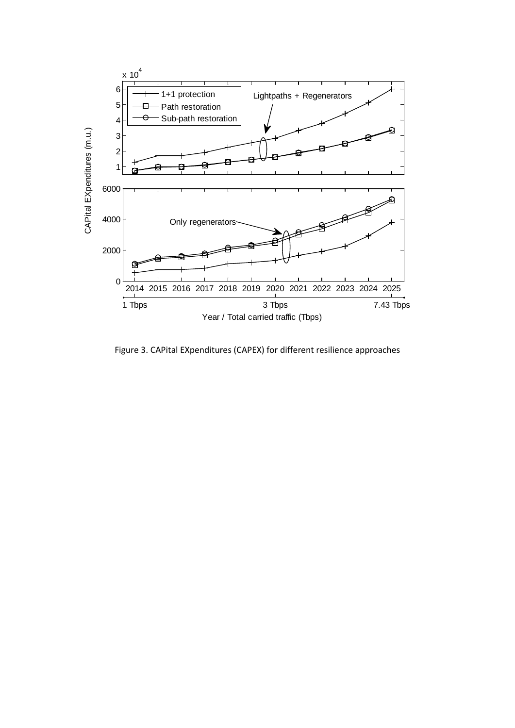

Figure 3. CAPital EXpenditures (CAPEX) for different resilience approaches